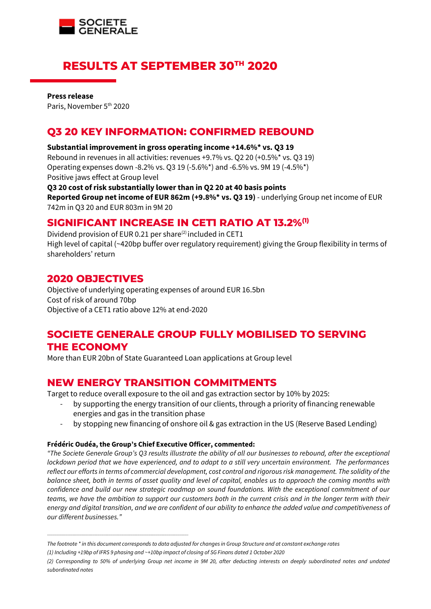

# **RESULTS AT SEPTEMBER 30TH 2020**

**Press release** Paris, November 5<sup>th</sup> 2020

# **Q3 20 KEY INFORMATION: CONFIRMED REBOUND**

#### **Substantial improvement in gross operating income +14.6%\* vs. Q3 19**

Rebound in revenues in all activities: revenues +9.7% vs. Q2 20 (+0.5%\* vs. Q3 19) Operating expenses down -8.2% vs. Q3 19 (-5.6%\*) and -6.5% vs. 9M 19 (-4.5%\*) Positive jaws effect at Group level

**Q3 20 cost of risk substantially lower than in Q2 20 at 40 basis points Reported Group net income of EUR 862m (+9.8%\* vs. Q3 19)** - underlying Group net income of EUR 742m in Q3 20 and EUR 803m in 9M 20

## **SIGNIFICANT INCREASE IN CET1 RATIO AT 13.2%(1)**

Dividend provision of EUR 0.21 per share<sup>(2)</sup> included in CET1 High level of capital (~420bp buffer over regulatory requirement) giving the Group flexibility in terms of shareholders' return

### **2020 OBJECTIVES**

Objective of underlying operating expenses of around EUR 16.5bn Cost of risk of around 70bp Objective of a CET1 ratio above 12% at end-2020

# **SOCIETE GENERALE GROUP FULLY MOBILISED TO SERVING THE ECONOMY**

More than EUR 20bn of State Guaranteed Loan applications at Group level

## **NEW ENERGY TRANSITION COMMITMENTS**

Target to reduce overall exposure to the oil and gas extraction sector by 10% by 2025:

- by supporting the energy transition of our clients, through a priority of financing renewable energies and gas in the transition phase
- by stopping new financing of onshore oil & gas extraction in the US (Reserve Based Lending)

#### **Frédéric Oudéa, the Group's Chief Executive Officer, commented:**

\_\_\_\_\_\_\_\_\_\_\_\_\_\_\_\_\_\_\_\_\_\_\_\_\_\_\_\_\_\_\_\_\_\_\_\_\_\_\_\_\_\_\_\_\_\_\_\_\_\_\_\_\_\_\_\_\_\_\_\_\_\_\_\_\_\_\_\_\_\_\_\_\_\_\_\_\_\_

*"The Societe Generale Group's Q3 results illustrate the ability of all our businesses to rebound, after the exceptional lockdown period that we have experienced, and to adapt to a still very uncertain environment. The performances reflect our efforts in terms of commercial development, cost control and rigorous risk management. The solidity of the balance sheet, both in terms of asset quality and level of capital, enables us to approach the coming months with confidence and build our new strategic roadmap on sound foundations. With the exceptional commitment of our teams, we have the ambition to support our customers both in the current crisis and in the longer term with their energy and digital transition, and we are confident of our ability to enhance the added value and competitiveness of our different businesses."*

*The footnote \* in this document corresponds to data adjusted for changes in Group Structure and at constant exchange rates*

*<sup>(1)</sup> Including +19bp of IFRS 9 phasing and ~+10bp impact of closing of SG Finans dated 1 October 2020*

*<sup>(2)</sup> Corresponding to 50% of underlying Group net income in 9M 20, after deducting interests on deeply subordinated notes and undated subordinated notes*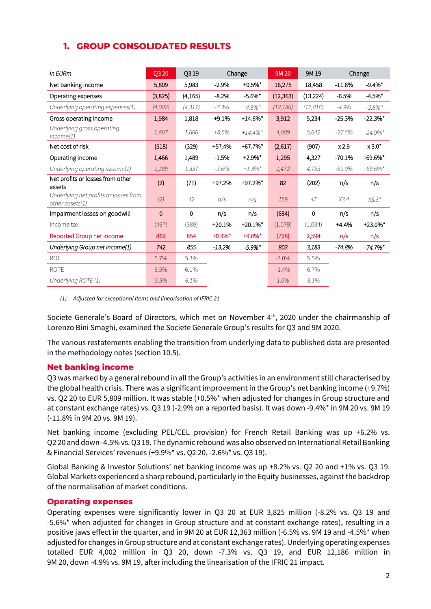### **1. GROUP CONSOLIDATED RESULTS**

| In EURm                                                       | Q3 20   | Q319     |            | Change                | 9M 20     | 9M 19     |          | Change                 |
|---------------------------------------------------------------|---------|----------|------------|-----------------------|-----------|-----------|----------|------------------------|
| Net banking income                                            | 5,809   | 5,983    | $-2.9%$    | $+0.5%$ *             | 16,275    | 18,458    | $-11.8%$ | $-9.4%$ *              |
| Operating expenses                                            | (3,825) | (4, 165) | $-8.2%$    | $-5.6\%$ *            | (12, 363) | (13, 224) | $-6.5%$  | $-4.5%$ *              |
| Underlying operating expenses(1)                              | (4,002) | (4, 317) | $-7.3%$    | $-4.8\%$ <sup>*</sup> | (12, 186) | (12, 816) | $-4.9%$  | $-2.8\%$ <sup>*</sup>  |
| Gross operating income                                        | 1,984   | 1,818    | $+9.1%$    | $+14.6%$ *            | 3,912     | 5,234     | $-25.3%$ | $-22.3%$ *             |
| Underlying gross operating<br>income(1)                       | 1,807   | 1,666    | $+8.5%$    | $+14.4\%$ *           | 4,089     | 5,642     | $-27.5%$ | $-24.9\%$ <sup>*</sup> |
| Net cost of risk                                              | (518)   | (329)    | +57.4%     | +67.7%*               | (2,617)   | (907)     | x2.9     | x 3.0"                 |
| Operating income                                              | 1,466   | 1,489    | $-1.5%$    | $+2.9%$ *             | 1,295     | 4,327     | $-70.1%$ | $-69.6%$ *             |
| Underlying operating income(1)                                | 1,289   | 1,337    | $-3.6%$    | $+1.3\%$ *            | 1,472     | 4,753     | $-69.0%$ | $-68.6\%$ *            |
| Net profits or losses from other<br>assets                    | (2)     | (71)     | +97.2%     | +97.2%*               | 82        | (202)     | n/s      | n/s                    |
| Underlying net profits or losses from<br>$other$ assets $(1)$ | (2)     | 42       | n/s        | n/s                   | 159       | 47        | X3.4     | $X3.3*$                |
| Impairment losses on goodwill                                 | 0       | 0        | n/s        | n/s                   | (684)     | 0         | n/s      | n/s                    |
| Income tax                                                    | (467)   | (389)    | $+20.1%$   | $+20.1%$ *            | (1,079)   | (1,034)   | $+4.4%$  | $+23.0\%$ *            |
| Reported Group net income                                     | 862     | 854      | $+0.9\%$ * | $+9.8\%$ *            | (728)     | 2,594     | n/s      | n/s                    |
| Underlying Group net income(1)                                | 742     | 855      | $-13.2\%$  | $-5.9\%$ *            | 803       | 3,183     | $-74.8%$ | $-74.7%$ *             |
| <b>ROE</b>                                                    | 5.7%    | 5.3%     |            |                       | $-3.0\%$  | 5.5%      |          |                        |
| <b>ROTE</b>                                                   | 6.5%    | 6.1%     |            |                       | $-1.4%$   | 6.7%      |          |                        |
| Underlying ROTE (1)                                           | 5.5%    | 6.1%     |            |                       | 1.0%      | 8.1%      |          |                        |

*(1) Adjusted for exceptional items and linearisation of IFRIC 21* 

Societe Generale's Board of Directors, which met on November 4<sup>th</sup>, 2020 under the chairmanship of Lorenzo Bini Smaghi, examined the Societe Generale Group's results for Q3 and 9M 2020.

The various restatements enabling the transition from underlying data to published data are presented in the methodology notes (section 10.5).

#### **Net banking income**

Q3 was marked by a general rebound in all the Group's activities in an environment still characterised by the global health crisis. There was a significant improvement in the Group's net banking income (+9.7%) vs. Q2 20 to EUR 5,809 million. It was stable (+0.5%\* when adjusted for changes in Group structure and at constant exchange rates) vs. Q3 19 (-2.9% on a reported basis). It was down -9.4%\* in 9M 20 vs. 9M 19 (-11.8% in 9M 20 vs. 9M 19).

Net banking income (excluding PEL/CEL provision) for French Retail Banking was up +6.2% vs. Q2 20 and down -4.5% vs. Q3 19. The dynamic rebound was also observed on International Retail Banking & Financial Services' revenues (+9.9%\* vs. Q2 20, -2.6%\* vs. Q3 19).

Global Banking & Investor Solutions' net banking income was up +8.2% vs. Q2 20 and +1% vs. Q3 19. Global Markets experienced a sharp rebound, particularly in the Equity businesses, against the backdrop of the normalisation of market conditions.

### **Operating expenses**

Operating expenses were significantly lower in Q3 20 at EUR 3,825 million (-8.2% vs. Q3 19 and -5.6%\* when adjusted for changes in Group structure and at constant exchange rates), resulting in a positive jaws effect in the quarter, and in 9M 20 at EUR 12,363 million (-6.5% vs. 9M 19 and -4.5%\* when adjusted for changes in Group structure and at constant exchange rates). Underlying operating expenses totalled EUR 4,002 million in Q3 20, down -7.3% vs. Q3 19, and EUR 12,186 million in 9M 20, down -4.9% vs. 9M 19, after including the linearisation of the IFRIC 21 impact.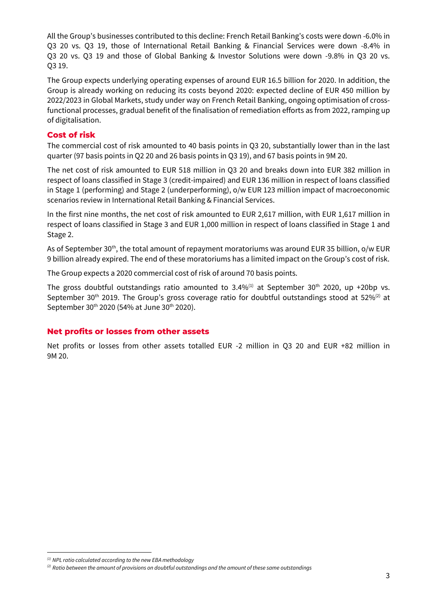All the Group's businesses contributed to this decline: French Retail Banking's costs were down -6.0% in Q3 20 vs. Q3 19, those of International Retail Banking & Financial Services were down -8.4% in Q3 20 vs. Q3 19 and those of Global Banking & Investor Solutions were down -9.8% in Q3 20 vs. Q3 19.

The Group expects underlying operating expenses of around EUR 16.5 billion for 2020. In addition, the Group is already working on reducing its costs beyond 2020: expected decline of EUR 450 million by 2022/2023 in Global Markets, study under way on French Retail Banking, ongoing optimisation of crossfunctional processes, gradual benefit of the finalisation of remediation efforts as from 2022, ramping up of digitalisation.

### **Cost of risk**

The commercial cost of risk amounted to 40 basis points in Q3 20, substantially lower than in the last quarter (97 basis points in Q2 20 and 26 basis points in Q3 19), and 67 basis points in 9M 20.

The net cost of risk amounted to EUR 518 million in Q3 20 and breaks down into EUR 382 million in respect of loans classified in Stage 3 (credit-impaired) and EUR 136 million in respect of loans classified in Stage 1 (performing) and Stage 2 (underperforming), o/w EUR 123 million impact of macroeconomic scenarios review in International Retail Banking & Financial Services.

In the first nine months, the net cost of risk amounted to EUR 2,617 million, with EUR 1,617 million in respect of loans classified in Stage 3 and EUR 1,000 million in respect of loans classified in Stage 1 and Stage 2.

As of September 30<sup>th</sup>, the total amount of repayment moratoriums was around EUR 35 billion, o/w EUR 9 billion already expired. The end of these moratoriums has a limited impact on the Group's cost of risk.

The Group expects a 2020 commercial cost of risk of around 70 basis points.

The gross doubtful outstandings ratio amounted to  $3.4\%$ <sup>(1)</sup> at September 30<sup>th</sup> 2020, up +20bp vs. September 30<sup>th</sup> 2019. The Group's gross coverage ratio for doubtful outstandings stood at 52%<sup>(2)</sup> at September 30<sup>th</sup> 2020 (54% at June 30<sup>th</sup> 2020).

#### **Net profits or losses from other assets**

Net profits or losses from other assets totalled EUR -2 million in Q3 20 and EUR +82 million in 9M 20.

*<sup>(1)</sup> NPL ratio calculated according to the new EBA methodology*

*<sup>(2)</sup> Ratio between the amount of provisions on doubtful outstandings and the amount of these same outstandings*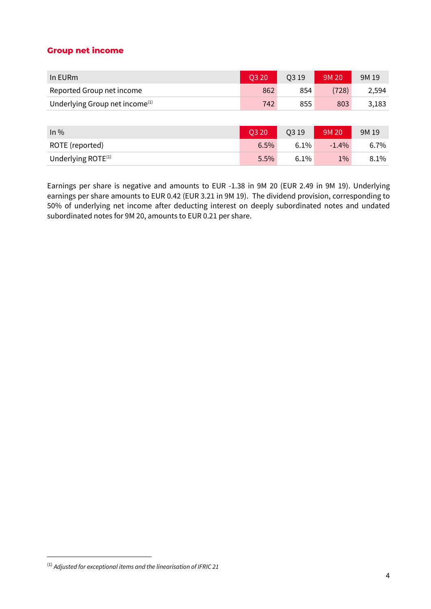### **Group net income**

| Q3 20 | Q3 19 | 9M 20 | 9M 19 |
|-------|-------|-------|-------|
| 862   | 854   | (728) | 2,594 |
| 742   | 855   | 803   | 3,183 |
|       |       |       |       |
|       |       |       |       |

| $ln\%$                | <b>0320</b> | 03 19   | 9M 20   | 9M 19   |
|-----------------------|-------------|---------|---------|---------|
| ROTE (reported)       | $6.5\%$     | $6.1\%$ | $-1.4%$ | 6.7%    |
| Underlying ROTE $(1)$ | $5.5\%$     | 6.1%    | $1\%$   | $8.1\%$ |

Earnings per share is negative and amounts to EUR -1.38 in 9M 20 (EUR 2.49 in 9M 19). Underlying earnings per share amounts to EUR 0.42 (EUR 3.21 in 9M 19). The dividend provision, corresponding to 50% of underlying net income after deducting interest on deeply subordinated notes and undated subordinated notes for 9M 20, amounts to EUR 0.21 per share.

<sup>(1)</sup> *Adjusted for exceptional items and the linearisation of IFRIC 21*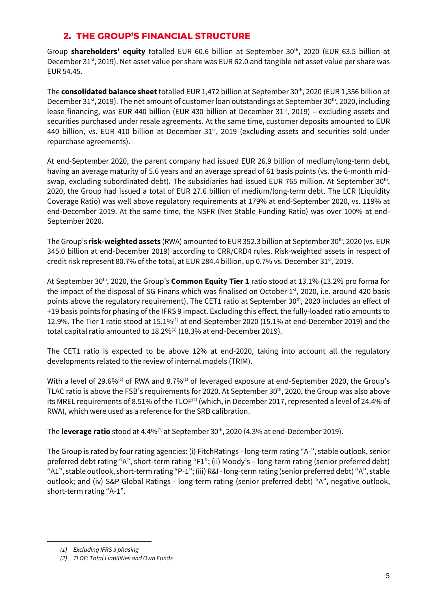### **2. THE GROUP'S FINANCIAL STRUCTURE**

Group **shareholders' equity** totalled EUR 60.6 billion at September 30<sup>th</sup>, 2020 (EUR 63.5 billion at December 31<sup>st</sup>, 2019). Net asset value per share was EUR 62.0 and tangible net asset value per share was EUR 54.45.

The **consolidated balance sheet** totalled EUR 1,472 billion at September 30<sup>th</sup>, 2020 (EUR 1,356 billion at December 31<sup>st</sup>, 2019). The net amount of customer loan outstandings at September 30<sup>th</sup>, 2020, including lease financing, was EUR 440 billion (EUR 430 billion at December 31 $st$ , 2019) – excluding assets and securities purchased under resale agreements. At the same time, customer deposits amounted to EUR 440 billion, vs. EUR 410 billion at December  $31<sup>st</sup>$ , 2019 (excluding assets and securities sold under repurchase agreements).

At end-September 2020, the parent company had issued EUR 26.9 billion of medium/long-term debt, having an average maturity of 5.6 years and an average spread of 61 basis points (vs. the 6-month midswap, excluding subordinated debt). The subsidiaries had issued EUR 765 million. At September 30<sup>th</sup>, 2020, the Group had issued a total of EUR 27.6 billion of medium/long-term debt. The LCR (Liquidity Coverage Ratio) was well above regulatory requirements at 179% at end-September 2020, vs. 119% at end-December 2019. At the same time, the NSFR (Net Stable Funding Ratio) was over 100% at end-September 2020.

The Group's **risk-weighted assets** (RWA) amounted to EUR 352.3 billion at September 30<sup>th</sup>, 2020 (vs. EUR 345.0 billion at end-December 2019) according to CRR/CRD4 rules. Risk-weighted assets in respect of credit risk represent 80.7% of the total, at EUR 284.4 billion, up 0.7% vs. December 31<sup>st</sup>, 2019.

At September 30th, 2020, the Group's **Common Equity Tier 1** ratio stood at 13.1% (13.2% pro forma for the impact of the disposal of SG Finans which was finalised on October  $1<sup>st</sup>$ , 2020, i.e. around 420 basis points above the regulatory requirement). The CET1 ratio at September 30<sup>th</sup>, 2020 includes an effect of +19 basis points for phasing of the IFRS 9 impact. Excluding this effect, the fully-loaded ratio amounts to 12.9%. The Tier 1 ratio stood at 15.1%(1) at end-September 2020 (15.1% at end-December 2019) and the total capital ratio amounted to  $18.2\%$ <sup>(1)</sup> (18.3% at end-December 2019).

The CET1 ratio is expected to be above 12% at end-2020, taking into account all the regulatory developments related to the review of internal models (TRIM).

With a level of 29.6% $^{(1)}$  of RWA and 8.7% $^{(1)}$  of leveraged exposure at end-September 2020, the Group's TLAC ratio is above the FSB's requirements for 2020. At September 30<sup>th</sup>, 2020, the Group was also above its MREL requirements of 8.51% of the TLOF<sup>(2)</sup> (which, in December 2017, represented a level of 24.4% of RWA), which were used as a reference for the SRB calibration.

The **leverage ratio** stood at 4.4%<sup>(1)</sup> at September 30<sup>th</sup>, 2020 (4.3% at end-December 2019).

The Group is rated by four rating agencies: (i) FitchRatings - long-term rating "A-", stable outlook, senior preferred debt rating "A", short-term rating "F1"; (ii) Moody's – long-term rating (senior preferred debt) "A1", stable outlook, short-term rating "P-1"; (iii) R&I -long-term rating (senior preferred debt) "A", stable outlook; and (iv) S&P Global Ratings - long-term rating (senior preferred debt) "A", negative outlook, short-term rating "A-1".

*<sup>(1)</sup> Excluding IFRS 9 phasing*

*<sup>(2)</sup> TLOF: Total Liabilities and Own Funds*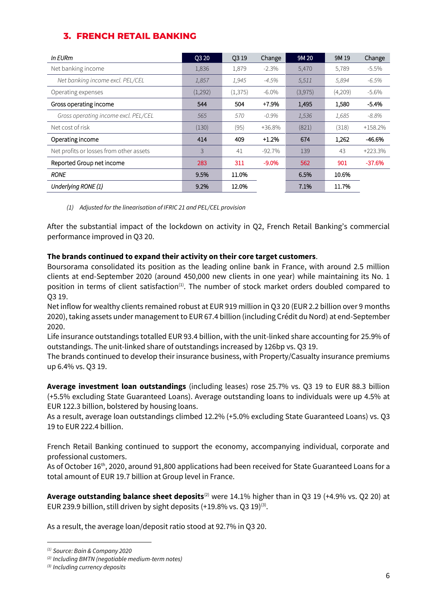## **3. FRENCH RETAIL BANKING**

| In EURm                                 | Q3 20   | 0319     | Change   | 9M 20   | 9M 19   | Change    |
|-----------------------------------------|---------|----------|----------|---------|---------|-----------|
| Net banking income                      | 1,836   | 1,879    | $-2.3\%$ | 5,470   | 5,789   | $-5.5%$   |
| Net banking income excl. PEL/CEL        | 1,857   | 1,945    | $-4.5%$  | 5,511   | 5,894   | $-6.5%$   |
| Operating expenses                      | (1,292) | (1, 375) | $-6.0\%$ | (3,975) | (4,209) | $-5.6\%$  |
| Gross operating income                  | 544     | 504      | $+7.9%$  | 1.495   | 1,580   | $-5.4%$   |
| Gross operating income excl. PEL/CEL    | 565     | 570      | $-0.9\%$ | 1,536   | 1,685   | -8.8%     |
| Net cost of risk                        | (130)   | (95)     | +36.8%   | (821)   | (318)   | $+158.2%$ |
| Operating income                        | 414     | 409      | $+1.2%$  | 674     | 1.262   | -46.6%    |
| Net profits or losses from other assets | 3       | 41       | $-92.7%$ | 139     | 43      | +223.3%   |
| Reported Group net income               | 283     | 311      | $-9.0%$  | 562     | 901     | $-37.6%$  |
| <b>RONE</b>                             | 9.5%    | 11.0%    |          | 6.5%    | 10.6%   |           |
| Underlying RONE (1)                     | 9.2%    | 12.0%    |          | 7.1%    | 11.7%   |           |

*(1) Adjusted for the linearisation of IFRIC 21 and PEL/CEL provision*

After the substantial impact of the lockdown on activity in Q2, French Retail Banking's commercial performance improved in Q3 20.

#### **The brands continued to expand their activity on their core target customers**.

Boursorama consolidated its position as the leading online bank in France, with around 2.5 million clients at end-September 2020 (around 450,000 new clients in one year) while maintaining its No. 1 position in terms of client satisfaction<sup>(1)</sup>. The number of stock market orders doubled compared to Q3 19.

Net inflow for wealthy clients remained robust at EUR 919 million in Q3 20 (EUR 2.2 billion over 9 months 2020), taking assets under management to EUR 67.4 billion (including Crédit du Nord) at end-September 2020.

Life insurance outstandings totalled EUR 93.4 billion, with the unit-linked share accounting for 25.9% of outstandings. The unit-linked share of outstandings increased by 126bp vs. Q3 19.

The brands continued to develop their insurance business, with Property/Casualty insurance premiums up 6.4% vs. Q3 19.

**Average investment loan outstandings** (including leases) rose 25.7% vs. Q3 19 to EUR 88.3 billion (+5.5% excluding State Guaranteed Loans). Average outstanding loans to individuals were up 4.5% at EUR 122.3 billion, bolstered by housing loans.

As a result, average loan outstandings climbed 12.2% (+5.0% excluding State Guaranteed Loans) vs. Q3 19 to EUR 222.4 billion.

French Retail Banking continued to support the economy, accompanying individual, corporate and professional customers.

As of October 16<sup>th</sup>, 2020, around 91,800 applications had been received for State Guaranteed Loans for a total amount of EUR 19.7 billion at Group level in France.

**Average outstanding balance sheet deposits**(2) were 14.1% higher than in Q3 19 (+4.9% vs. Q2 20) at EUR 239.9 billion, still driven by sight deposits  $(+19.8\% \text{ vs. } Q3 \ 19)^{(3)}$ .

As a result, the average loan/deposit ratio stood at 92.7% in Q3 20.

*<sup>(1)</sup> Source: Bain & Company 2020*

*<sup>(2)</sup> Including BMTN (negotiable medium-term notes)*

*<sup>(3)</sup> Including currency deposits*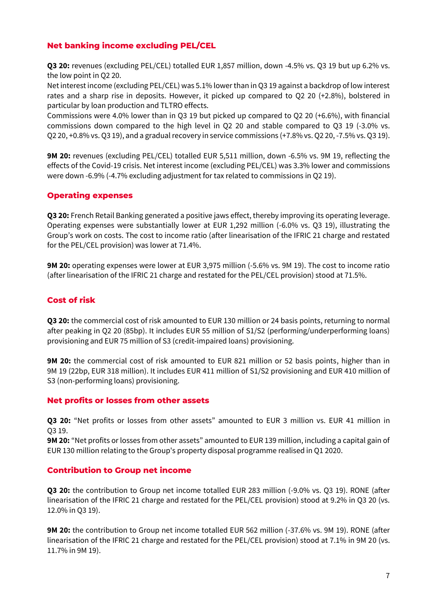### **Net banking income excluding PEL/CEL**

**Q3 20:** revenues (excluding PEL/CEL) totalled EUR 1,857 million, down -4.5% vs. Q3 19 but up 6.2% vs. the low point in Q2 20.

Net interest income (excluding PEL/CEL) was 5.1% lower than in Q3 19 against a backdrop of low interest rates and a sharp rise in deposits. However, it picked up compared to Q2 20 (+2.8%), bolstered in particular by loan production and TLTRO effects.

Commissions were 4.0% lower than in Q3 19 but picked up compared to Q2 20 (+6.6%), with financial commissions down compared to the high level in Q2 20 and stable compared to Q3 19 (-3.0% vs. Q2 20, +0.8% vs. Q3 19), and a gradual recovery in service commissions (+7.8% vs. Q2 20, -7.5% vs. Q3 19).

**9M 20:** revenues (excluding PEL/CEL) totalled EUR 5,511 million, down -6.5% vs. 9M 19, reflecting the effects of the Covid-19 crisis. Net interest income (excluding PEL/CEL) was 3.3% lower and commissions were down -6.9% (-4.7% excluding adjustment for tax related to commissions in Q2 19).

### **Operating expenses**

**Q3 20:** French Retail Banking generated a positive jaws effect, thereby improving its operating leverage. Operating expenses were substantially lower at EUR 1,292 million (-6.0% vs. Q3 19), illustrating the Group's work on costs. The cost to income ratio (after linearisation of the IFRIC 21 charge and restated for the PEL/CEL provision) was lower at 71.4%.

**9M 20:** operating expenses were lower at EUR 3,975 million (-5.6% vs. 9M 19). The cost to income ratio (after linearisation of the IFRIC 21 charge and restated for the PEL/CEL provision) stood at 71.5%.

### **Cost of risk**

**Q3 20:** the commercial cost of risk amounted to EUR 130 million or 24 basis points, returning to normal after peaking in Q2 20 (85bp). It includes EUR 55 million of S1/S2 (performing/underperforming loans) provisioning and EUR 75 million of S3 (credit-impaired loans) provisioning.

**9M 20:** the commercial cost of risk amounted to EUR 821 million or 52 basis points, higher than in 9M 19 (22bp, EUR 318 million). It includes EUR 411 million of S1/S2 provisioning and EUR 410 million of S3 (non-performing loans) provisioning.

### **Net profits or losses from other assets**

**Q3 20:** "Net profits or losses from other assets" amounted to EUR 3 million vs. EUR 41 million in Q3 19.

**9M 20:** "Net profits or losses from other assets" amounted to EUR 139 million, including a capital gain of EUR 130 million relating to the Group's property disposal programme realised in Q1 2020.

### **Contribution to Group net income**

**Q3 20:** the contribution to Group net income totalled EUR 283 million (-9.0% vs. Q3 19). RONE (after linearisation of the IFRIC 21 charge and restated for the PEL/CEL provision) stood at 9.2% in Q3 20 (vs. 12.0% in Q3 19).

**9M 20:** the contribution to Group net income totalled EUR 562 million (-37.6% vs. 9M 19). RONE (after linearisation of the IFRIC 21 charge and restated for the PEL/CEL provision) stood at 7.1% in 9M 20 (vs. 11.7% in 9M 19).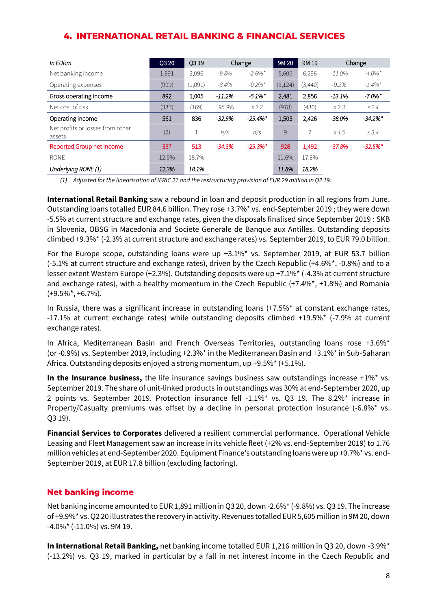### **4. INTERNATIONAL RETAIL BANKING & FINANCIAL SERVICES**

| In EURm                                    | O <sub>3</sub> 20 | O <sub>3</sub> 19 |          | Change                 | 9M 20    | 9M 19          |           | Change                 |
|--------------------------------------------|-------------------|-------------------|----------|------------------------|----------|----------------|-----------|------------------------|
| Net banking income                         | 1,891             | 2,096             | $-9.8%$  | $-2.6\%$ <sup>*</sup>  | 5,605    | 6,296          | $-11.0\%$ | $-4.0\%$ <sup>*</sup>  |
| Operating expenses                         | (999)             | (1,091)           | $-8.4\%$ | $-0.2\%$ <sup>*</sup>  | (3, 124) | (3,440)        | $-9.2\%$  | $-1.4\%$ <sup>*</sup>  |
| Gross operating income                     | 892               | 1,005             | $-11.2%$ | $-5.1\%$ *             | 2,481    | 2,856          | $-13.1%$  | $-7.0\%$ <sup>*</sup>  |
| Net cost of risk                           | (331)             | (169)             | $+95.9%$ | x2.2                   | (978)    | (430)          | x2.3      | x2.4                   |
| Operating income                           | 561               | 836               | $-32.9%$ | $-29.4\%$ <sup>*</sup> | 1.503    | 2,426          | $-38.0%$  | $-34.2\%$ <sup>*</sup> |
| Net profits or losses from other<br>assets | (2)               |                   | n/s      | n/s                    | 9        | $\overline{2}$ | x4.5      | x3.4                   |
| Reported Group net income                  | 337               | 513               | $-34.3%$ | $-29.3\%$ <sup>*</sup> | 928      | 1,492          | $-37.8%$  | $-32.5%$ *             |
| <b>RONE</b>                                | 12.9%             | 18.7%             |          |                        | 11.6%    | 17.8%          |           |                        |
| Underlying RONE (1)                        | 12.3%             | 18.1%             |          |                        | 11.8%    | 18.2%          |           |                        |

*(1) Adjusted for the linearisation of IFRIC 21 and the restructuring provision of EUR 29 million in Q2 19.* 

**International Retail Banking** saw a rebound in loan and deposit production in all regions from June. Outstanding loans totalled EUR 84.6 billion. They rose +3.7%\* vs. end-September 2019 ; they were down -5.5% at current structure and exchange rates, given the disposals finalised since September 2019 : SKB in Slovenia, OBSG in Macedonia and Societe Generale de Banque aux Antilles. Outstanding deposits climbed +9.3%\* (-2.3% at current structure and exchange rates) vs. September 2019, to EUR 79.0 billion.

For the Europe scope, outstanding loans were up +3.1%\* vs. September 2019, at EUR 53.7 billion (-5.1% at current structure and exchange rates), driven by the Czech Republic (+4.6%\*, -0.8%) and to a lesser extent Western Europe (+2.3%). Outstanding deposits were up +7.1%\* (-4.3% at current structure and exchange rates), with a healthy momentum in the Czech Republic  $(+7.4\%^*, +1.8\%)$  and Romania (+9.5%\*, +6.7%).

In Russia, there was a significant increase in outstanding loans (+7.5%\* at constant exchange rates, -17.1% at current exchange rates) while outstanding deposits climbed +19.5%\* (-7.9% at current exchange rates).

In Africa, Mediterranean Basin and French Overseas Territories, outstanding loans rose +3.6%\* (or -0.9%) vs. September 2019, including +2.3%\* in the Mediterranean Basin and +3.1%\* in Sub-Saharan Africa. Outstanding deposits enjoyed a strong momentum, up +9.5%\* (+5.1%).

**In the Insurance business,** the life insurance savings business saw outstandings increase +1%<sup>\*</sup> vs. September 2019. The share of unit-linked products in outstandings was 30% at end-September 2020, up 2 points vs. September 2019. Protection insurance fell -1.1%\* vs. Q3 19. The 8.2%\* increase in Property/Casualty premiums was offset by a decline in personal protection insurance (-6.8%\* vs. Q3 19).

**Financial Services to Corporates** delivered a resilient commercial performance. Operational Vehicle Leasing and Fleet Management saw an increase in its vehicle fleet (+2% vs. end-September 2019) to 1.76 million vehicles at end-September 2020. Equipment Finance's outstanding loans were up +0.7%\* vs. end-September 2019, at EUR 17.8 billion (excluding factoring).

### **Net banking income**

Net banking income amounted to EUR 1,891 million in Q3 20, down -2.6%\* (-9.8%) vs. Q3 19. The increase of +9.9%\* vs. Q2 20 illustrates the recovery in activity. Revenues totalled EUR 5,605 million in 9M 20, down  $-4.0\%$ \* ( $-11.0\%$ ) vs. 9M 19.

**In International Retail Banking,** net banking income totalled EUR 1,216 million in Q3 20, down -3.9%\* (-13.2%) vs. Q3 19, marked in particular by a fall in net interest income in the Czech Republic and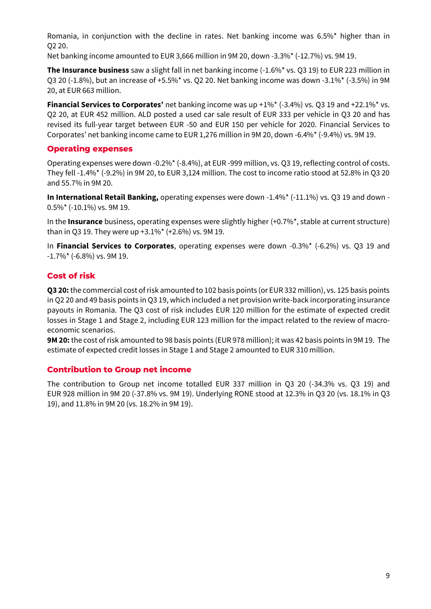Romania, in conjunction with the decline in rates. Net banking income was 6.5%\* higher than in Q2 20.

Net banking income amounted to EUR 3,666 million in 9M 20, down -3.3%\* (-12.7%) vs. 9M 19.

**The Insurance business** saw a slight fall in net banking income (-1.6%\* vs. Q3 19) to EUR 223 million in Q3 20 (-1.8%), but an increase of +5.5%\* vs. Q2 20. Net banking income was down -3.1%\* (-3.5%) in 9M 20, at EUR 663 million.

**Financial Services to Corporates'** net banking income was up +1%\* (-3.4%) vs. Q3 19 and +22.1%\* vs. Q2 20, at EUR 452 million. ALD posted a used car sale result of EUR 333 per vehicle in Q3 20 and has revised its full-year target between EUR -50 and EUR 150 per vehicle for 2020. Financial Services to Corporates' net banking income came to EUR 1,276 million in 9M 20, down -6.4%\* (-9.4%) vs. 9M 19.

#### **Operating expenses**

Operating expenses were down -0.2%\* (-8.4%), at EUR -999 million, vs. Q3 19, reflecting control of costs. They fell -1.4%\* (-9.2%) in 9M 20, to EUR 3,124 million. The cost to income ratio stood at 52.8% in Q3 20 and 55.7% in 9M 20.

**In International Retail Banking,** operating expenses were down -1.4%\* (-11.1%) vs. Q3 19 and down - 0.5%\* (-10.1%) vs. 9M 19.

In the **Insurance** business, operating expenses were slightly higher (+0.7%\*, stable at current structure) than in Q3 19. They were up +3.1%\* (+2.6%) vs. 9M 19.

In **Financial Services to Corporates**, operating expenses were down -0.3%\* (-6.2%) vs. Q3 19 and -1.7%\* (-6.8%) vs. 9M 19.

### **Cost of risk**

**Q3 20:** the commercial cost of risk amounted to 102 basis points (or EUR 332 million), vs. 125 basis points in Q2 20 and 49 basis points in Q3 19, which included a net provision write-back incorporating insurance payouts in Romania. The Q3 cost of risk includes EUR 120 million for the estimate of expected credit losses in Stage 1 and Stage 2, including EUR 123 million for the impact related to the review of macroeconomic scenarios.

**9M 20:** the cost of risk amounted to 98 basis points (EUR 978 million); it was 42 basis points in 9M 19. The estimate of expected credit losses in Stage 1 and Stage 2 amounted to EUR 310 million.

### **Contribution to Group net income**

The contribution to Group net income totalled EUR 337 million in Q3 20 (-34.3% vs. Q3 19) and EUR 928 million in 9M 20 (-37.8% vs. 9M 19). Underlying RONE stood at 12.3% in Q3 20 (vs. 18.1% in Q3 19), and 11.8% in 9M 20 (vs. 18.2% in 9M 19).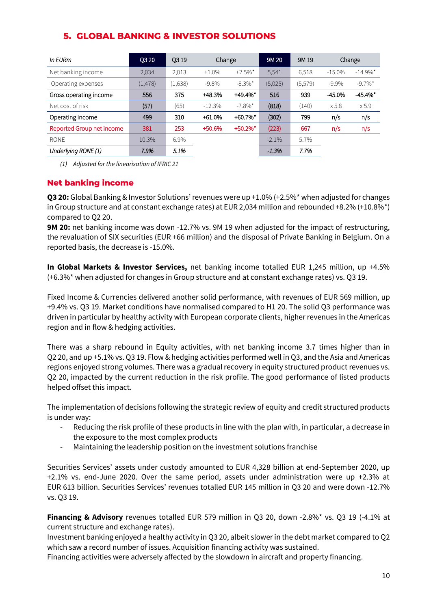| In EURm                   | <b>Q320</b> | O <sub>3</sub> 19 | Change   |                       | 9M 20    | 9M 19   |           | Change                 |
|---------------------------|-------------|-------------------|----------|-----------------------|----------|---------|-----------|------------------------|
| Net banking income        | 2.034       | 2,013             | $+1.0%$  | $+2.5\%$ <sup>*</sup> | 5,541    | 6,518   | $-15.0\%$ | $-14.9\%$ <sup>*</sup> |
| Operating expenses        | (1, 478)    | (1,638)           | $-9.8%$  | $-8.3\%$ <sup>*</sup> | (5,025)  | (5,579) | $-9.9\%$  | $-9.7\%$ <sup>*</sup>  |
| Gross operating income    | 556         | 375               | +48.3%   | $+49.4%$              | 516      | 939     | $-45.0%$  | $-45.4%$               |
| Net cost of risk          | (57)        | (65)              | $-12.3%$ | $-7.8\%$ <sup>*</sup> | (818)    | (140)   | x 5.8     | x 5.9                  |
| Operating income          | 499         | 310               | $+61.0%$ | $+60.7\%$ *           | (302)    | 799     | n/s       | n/s                    |
| Reported Group net income | 381         | 253               | +50.6%   | $+50.2\%$ *           | (223)    | 667     | n/s       | n/s                    |
| <b>RONE</b>               | 10.3%       | 6.9%              |          |                       | $-2.1\%$ | 5.7%    |           |                        |
| Underlying RONE (1)       | 7.9%        | 5.1%              |          |                       | $-1.3%$  | 7.7%    |           |                        |

### **5. GLOBAL BANKING & INVESTOR SOLUTIONS**

*(1) Adjusted for the linearisation of IFRIC 21*

### **Net banking income**

**Q3 20:** Global Banking & Investor Solutions' revenues were up +1.0% (+2.5%\* when adjusted for changes in Group structure and at constant exchange rates) at EUR 2,034 million and rebounded +8.2% (+10.8%\*) compared to Q2 20.

**9M 20:** net banking income was down -12.7% vs. 9M 19 when adjusted for the impact of restructuring, the revaluation of SIX securities (EUR +66 million) and the disposal of Private Banking in Belgium. On a reported basis, the decrease is -15.0%.

**In Global Markets & Investor Services,** net banking income totalled EUR 1,245 million, up +4.5% (+6.3%\* when adjusted for changes in Group structure and at constant exchange rates) vs. Q3 19.

Fixed Income & Currencies delivered another solid performance, with revenues of EUR 569 million, up +9.4% vs. Q3 19. Market conditions have normalised compared to H1 20. The solid Q3 performance was driven in particular by healthy activity with European corporate clients, higher revenues in the Americas region and in flow & hedging activities.

There was a sharp rebound in Equity activities, with net banking income 3.7 times higher than in Q2 20, and up +5.1% vs. Q3 19. Flow & hedging activities performed well in Q3, and the Asia and Americas regions enjoyed strong volumes. There was a gradual recovery in equity structured product revenues vs. Q2 20, impacted by the current reduction in the risk profile. The good performance of listed products helped offset this impact.

The implementation of decisions following the strategic review of equity and credit structured products is under way:

- Reducing the risk profile of these products in line with the plan with, in particular, a decrease in the exposure to the most complex products
- Maintaining the leadership position on the investment solutions franchise

Securities Services' assets under custody amounted to EUR 4,328 billion at end-September 2020, up +2.1% vs. end-June 2020. Over the same period, assets under administration were up +2.3% at EUR 613 billion. Securities Services' revenues totalled EUR 145 million in Q3 20 and were down -12.7% vs. Q3 19.

**Financing & Advisory** revenues totalled EUR 579 million in Q3 20, down -2.8%\* vs. Q3 19 (-4.1% at current structure and exchange rates).

Investment banking enjoyed a healthy activity in Q3 20, albeit slower in the debt market compared to Q2 which saw a record number of issues. Acquisition financing activity was sustained.

Financing activities were adversely affected by the slowdown in aircraft and property financing.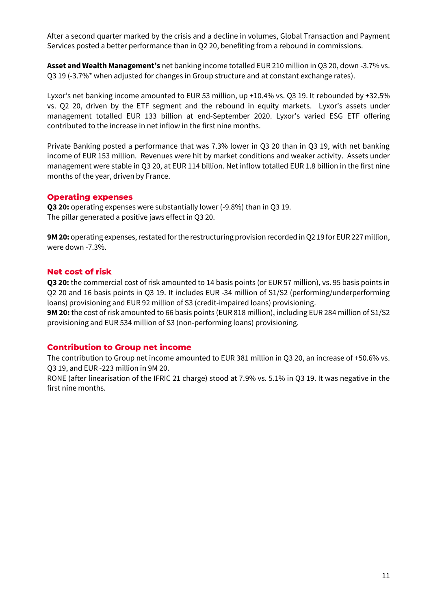After a second quarter marked by the crisis and a decline in volumes, Global Transaction and Payment Services posted a better performance than in Q2 20, benefiting from a rebound in commissions.

**Asset and Wealth Management's** net banking income totalled EUR 210 million in Q3 20, down -3.7% vs. Q3 19 (-3.7%\* when adjusted for changes in Group structure and at constant exchange rates).

Lyxor's net banking income amounted to EUR 53 million, up +10.4% vs. Q3 19. It rebounded by +32.5% vs. Q2 20, driven by the ETF segment and the rebound in equity markets. Lyxor's assets under management totalled EUR 133 billion at end-September 2020. Lyxor's varied ESG ETF offering contributed to the increase in net inflow in the first nine months.

Private Banking posted a performance that was 7.3% lower in Q3 20 than in Q3 19, with net banking income of EUR 153 million. Revenues were hit by market conditions and weaker activity. Assets under management were stable in Q3 20, at EUR 114 billion. Net inflow totalled EUR 1.8 billion in the first nine months of the year, driven by France.

#### **Operating expenses**

**Q3 20:** operating expenses were substantially lower (-9.8%) than in Q3 19. The pillar generated a positive jaws effect in Q3 20.

**9M 20:** operating expenses, restated for the restructuring provision recorded in Q2 19 for EUR 227 million, were down -7.3%.

#### **Net cost of risk**

**Q3 20:** the commercial cost of risk amounted to 14 basis points (or EUR 57 million), vs. 95 basis points in Q2 20 and 16 basis points in Q3 19. It includes EUR -34 million of S1/S2 (performing/underperforming loans) provisioning and EUR 92 million of S3 (credit-impaired loans) provisioning.

**9M 20:** the cost of risk amounted to 66 basis points (EUR 818 million), including EUR 284 million of S1/S2 provisioning and EUR 534 million of S3 (non-performing loans) provisioning.

### **Contribution to Group net income**

The contribution to Group net income amounted to EUR 381 million in Q3 20, an increase of +50.6% vs. Q3 19, and EUR -223 million in 9M 20.

RONE (after linearisation of the IFRIC 21 charge) stood at 7.9% vs. 5.1% in Q3 19. It was negative in the first nine months.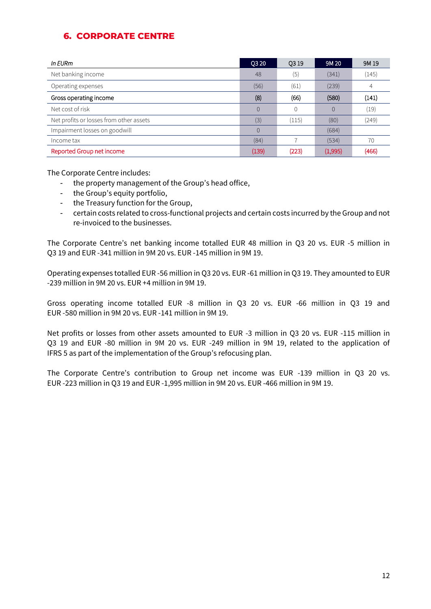### **6. CORPORATE CENTRE**

| In EURm                                 | Q3 20    | <b>Q319</b> | 9M 20          | 9M 19 |
|-----------------------------------------|----------|-------------|----------------|-------|
| Net banking income                      | 48       | (5)         | (341)          | (145) |
| Operating expenses                      | (56)     | (61)        | (239)          | 4     |
| Gross operating income                  | (8)      | (66)        | (580)          | (141) |
| Net cost of risk                        | $\Omega$ | 0           | $\overline{0}$ | (19)  |
| Net profits or losses from other assets | (3)      | (115)       | (80)           | (249) |
| Impairment losses on goodwill           |          |             | (684)          |       |
| Income tax                              | (84)     |             | (534)          | 70    |
| Reported Group net income               | (139)    | (223)       | (1,995)        | (466) |

The Corporate Centre includes:

- the property management of the Group's head office,
- the Group's equity portfolio,
- the Treasury function for the Group,
- certain costs related to cross-functional projects and certain costs incurred by the Group and not re-invoiced to the businesses.

The Corporate Centre's net banking income totalled EUR 48 million in Q3 20 vs. EUR -5 million in Q3 19 and EUR -341 million in 9M 20 vs. EUR -145 million in 9M 19.

Operating expenses totalled EUR -56 million in Q3 20 vs. EUR -61 million in Q3 19. They amounted to EUR -239 million in 9M 20 vs. EUR +4 million in 9M 19.

Gross operating income totalled EUR -8 million in Q3 20 vs. EUR -66 million in Q3 19 and EUR -580 million in 9M 20 vs. EUR -141 million in 9M 19.

Net profits or losses from other assets amounted to EUR -3 million in Q3 20 vs. EUR -115 million in Q3 19 and EUR -80 million in 9M 20 vs. EUR -249 million in 9M 19, related to the application of IFRS 5 as part of the implementation of the Group's refocusing plan.

The Corporate Centre's contribution to Group net income was EUR -139 million in Q3 20 vs. EUR -223 million in Q3 19 and EUR -1,995 million in 9M 20 vs. EUR -466 million in 9M 19.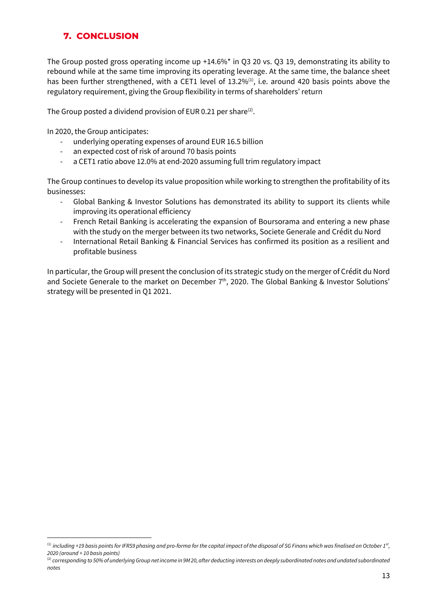## **7. CONCLUSION**

The Group posted gross operating income up +14.6%\* in Q3 20 vs. Q3 19, demonstrating its ability to rebound while at the same time improving its operating leverage. At the same time, the balance sheet has been further strengthened, with a CET1 level of 13.2% $^{(1)}$ , i.e. around 420 basis points above the regulatory requirement, giving the Group flexibility in terms of shareholders' return

The Group posted a dividend provision of EUR 0.21 per share $(2)$ .

In 2020, the Group anticipates:

- underlying operating expenses of around EUR 16.5 billion
- an expected cost of risk of around 70 basis points
- a CET1 ratio above 12.0% at end-2020 assuming full trim regulatory impact

The Group continues to develop its value proposition while working to strengthen the profitability of its businesses:

- Global Banking & Investor Solutions has demonstrated its ability to support its clients while improving its operational efficiency
- French Retail Banking is accelerating the expansion of Boursorama and entering a new phase with the study on the merger between its two networks, Societe Generale and Crédit du Nord
- International Retail Banking & Financial Services has confirmed its position as a resilient and profitable business

In particular, the Group will present the conclusion of its strategic study on the merger of Crédit du Nord and Societe Generale to the market on December  $7<sup>th</sup>$ , 2020. The Global Banking & Investor Solutions' strategy will be presented in Q1 2021.

<sup>(1)</sup> *including +19 basis points for IFRS9 phasing and pro-forma for the capital impact of the disposal of SG Finans which was finalised on October 1st , 2020 (around + 10 basis points)*

<sup>&</sup>lt;sup>(2)</sup> corresponding to 50% of underlying Group net income in 9M 20, after deducting interests on deeply subordinated notes and undated subordinated *notes*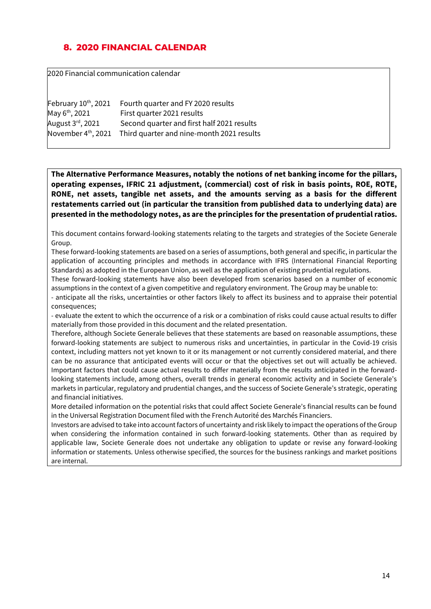## **8. 2020 FINANCIAL CALENDAR**

2020 Financial communication calendar

| February 10th, 2021             | Fourth quarter and FY 2020 results         |
|---------------------------------|--------------------------------------------|
| May 6 <sup>th</sup> , 2021      | First quarter 2021 results                 |
| August 3rd, 2021                | Second quarter and first half 2021 results |
| November 4 <sup>th</sup> , 2021 | Third quarter and nine-month 2021 results  |

**The Alternative Performance Measures, notably the notions of net banking income for the pillars, operating expenses, IFRIC 21 adjustment, (commercial) cost of risk in basis points, ROE, ROTE, RONE, net assets, tangible net assets, and the amounts serving as a basis for the different restatements carried out (in particular the transition from published data to underlying data) are presented in the methodology notes, as are the principles for the presentation of prudential ratios.** 

This document contains forward-looking statements relating to the targets and strategies of the Societe Generale Group.

These forward-looking statements are based on a series of assumptions, both general and specific, in particular the application of accounting principles and methods in accordance with IFRS (International Financial Reporting Standards) as adopted in the European Union, as well as the application of existing prudential regulations.

These forward-looking statements have also been developed from scenarios based on a number of economic assumptions in the context of a given competitive and regulatory environment. The Group may be unable to:

- anticipate all the risks, uncertainties or other factors likely to affect its business and to appraise their potential consequences;

- evaluate the extent to which the occurrence of a risk or a combination of risks could cause actual results to differ materially from those provided in this document and the related presentation.

Therefore, although Societe Generale believes that these statements are based on reasonable assumptions, these forward-looking statements are subject to numerous risks and uncertainties, in particular in the Covid-19 crisis context, including matters not yet known to it or its management or not currently considered material, and there can be no assurance that anticipated events will occur or that the objectives set out will actually be achieved. Important factors that could cause actual results to differ materially from the results anticipated in the forwardlooking statements include, among others, overall trends in general economic activity and in Societe Generale's markets in particular, regulatory and prudential changes, and the success of Societe Generale's strategic, operating and financial initiatives.

More detailed information on the potential risks that could affect Societe Generale's financial results can be found in the Universal Registration Document filed with the French Autorité des Marchés Financiers.

Investors are advised to take into account factors of uncertainty and risk likely to impact the operations of the Group when considering the information contained in such forward-looking statements. Other than as required by applicable law, Societe Generale does not undertake any obligation to update or revise any forward-looking information or statements. Unless otherwise specified, the sources for the business rankings and market positions are internal.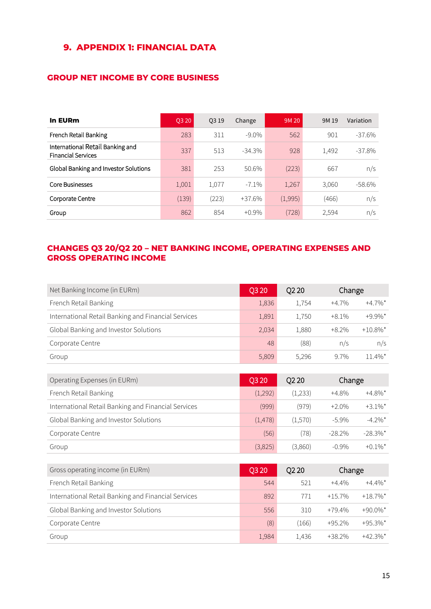## **9. APPENDIX 1: FINANCIAL DATA**

### **GROUP NET INCOME BY CORE BUSINESS**

| <b>In EURm</b>                                                | Q3 20 | 03 19 | Change   | 9M 20   | 9M 19 | Variation |
|---------------------------------------------------------------|-------|-------|----------|---------|-------|-----------|
| French Retail Banking                                         | 283   | 311   | $-9.0\%$ | 562     | 901   | $-37.6%$  |
| International Retail Banking and<br><b>Financial Services</b> | 337   | 513   | $-34.3%$ | 928     | 1,492 | $-37.8\%$ |
| Global Banking and Investor Solutions                         | 381   | 253   | 50.6%    | (223)   | 667   | n/s       |
| Core Businesses                                               | 1,001 | 1,077 | $-7.1\%$ | 1,267   | 3,060 | -58.6%    |
| Corporate Centre                                              | (139) | (223) | $+37.6%$ | (1,995) | (466) | n/s       |
| Group                                                         | 862   | 854   | $+0.9\%$ | (728)   | 2,594 | n/s       |

### **CHANGES Q3 20/Q2 20 – NET BANKING INCOME, OPERATING EXPENSES AND GROSS OPERATING INCOME**

| Net Banking Income (in EURm)                        | O <sub>3</sub> 20 | Q <sub>2</sub> 20 | Change   |                       |
|-----------------------------------------------------|-------------------|-------------------|----------|-----------------------|
| French Retail Banking                               | 1,836             | 1,754             | $+4.7\%$ | $+4.7\%$ <sup>*</sup> |
| International Retail Banking and Financial Services | 1,891             | 1,750             | $+8.1\%$ | $+9.9\%$ <sup>*</sup> |
| Global Banking and Investor Solutions               | 2,034             | 1,880             | $+8.2%$  | $+10.8\%$ *           |
| Corporate Centre                                    | 48                | (88)              | n/s      | n/s                   |
| Group                                               | 5,809             | 5,296             | 9.7%     | $11.4\%$ *            |

| Operating Expenses (in EURm)                        | <b>O3 20</b> | Q <sub>2</sub> 20 | Change   |                       |
|-----------------------------------------------------|--------------|-------------------|----------|-----------------------|
| French Retail Banking                               | (1,292)      | (1,233)           | $+4.8\%$ | $+4.8\%$ <sup>*</sup> |
| International Retail Banking and Financial Services | (999)        | (979)             | $+2.0%$  | $+3.1\%$ <sup>*</sup> |
| Global Banking and Investor Solutions               | (1,478)      | (1,570)           | $-5.9\%$ | $-4.2\%$ <sup>*</sup> |
| Corporate Centre                                    | (56)         | (78)              | $-28.2%$ | $-28.3\%$ *           |
| Group                                               | (3,825)      | (3,860)           | $-0.9\%$ | $+0.1\%$ <sup>*</sup> |

| Gross operating income (in EURm)                    | Q3 20 | O <sub>2</sub> 20 | Change   |                        |
|-----------------------------------------------------|-------|-------------------|----------|------------------------|
| French Retail Banking                               | 544   | 521               | $+4.4\%$ | $+4.4\%$ <sup>*</sup>  |
| International Retail Banking and Financial Services | 892   | 771               | $+15.7%$ | $+18.7\%$ *            |
| Global Banking and Investor Solutions               | 556   | 310               | $+79.4%$ | $+90.0\%$ <sup>*</sup> |
| Corporate Centre                                    | (8)   | (166)             | $+95.2%$ | $+95.3\%$ <sup>*</sup> |
| Group                                               | 1,984 | 1,436             | $+38.2%$ | $+42.3\%$ *            |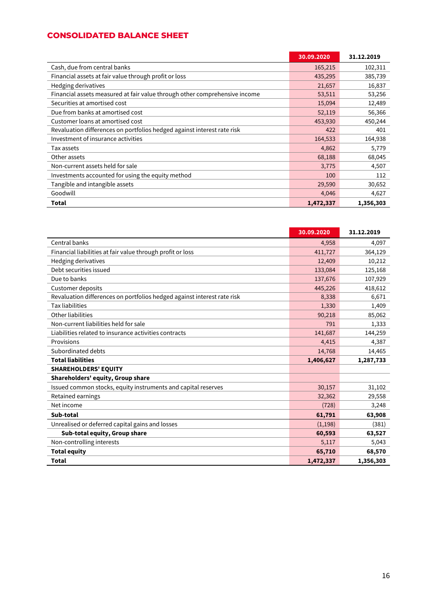### **CONSOLIDATED BALANCE SHEET**

|                                                                            | 30.09.2020 | 31.12.2019 |
|----------------------------------------------------------------------------|------------|------------|
| Cash, due from central banks                                               | 165,215    | 102,311    |
| Financial assets at fair value through profit or loss                      | 435,295    | 385,739    |
| Hedging derivatives                                                        | 21,657     | 16,837     |
| Financial assets measured at fair value through other comprehensive income | 53,511     | 53,256     |
| Securities at amortised cost                                               | 15,094     | 12,489     |
| Due from banks at amortised cost                                           | 52,119     | 56,366     |
| Customer loans at amortised cost                                           | 453,930    | 450,244    |
| Revaluation differences on portfolios hedged against interest rate risk    | 422        | 401        |
| Investment of insurance activities                                         | 164,533    | 164,938    |
| Tax assets                                                                 | 4,862      | 5,779      |
| Other assets                                                               | 68,188     | 68,045     |
| Non-current assets held for sale                                           | 3,775      | 4,507      |
| Investments accounted for using the equity method                          | 100        | 112        |
| Tangible and intangible assets                                             | 29,590     | 30,652     |
| Goodwill                                                                   | 4,046      | 4,627      |
| Total                                                                      | 1,472,337  | 1,356,303  |

|                                                                         | 30.09.2020 | 31.12.2019 |
|-------------------------------------------------------------------------|------------|------------|
| Central banks                                                           | 4,958      | 4,097      |
| Financial liabilities at fair value through profit or loss              | 411,727    | 364,129    |
| Hedging derivatives                                                     | 12,409     | 10,212     |
| Debt securities issued                                                  | 133,084    | 125,168    |
| Due to banks                                                            | 137,676    | 107,929    |
| Customer deposits                                                       | 445,226    | 418,612    |
| Revaluation differences on portfolios hedged against interest rate risk | 8,338      | 6,671      |
| <b>Tax liabilities</b>                                                  | 1,330      | 1,409      |
| Other liabilities                                                       | 90,218     | 85,062     |
| Non-current liabilities held for sale                                   | 791        | 1,333      |
| Liabilities related to insurance activities contracts                   | 141,687    | 144,259    |
| Provisions                                                              | 4,415      | 4,387      |
| Subordinated debts                                                      | 14,768     | 14,465     |
| <b>Total liabilities</b>                                                | 1,406,627  | 1,287,733  |
| <b>SHAREHOLDERS' EQUITY</b>                                             |            |            |
| Shareholders' equity, Group share                                       |            |            |
| Issued common stocks, equity instruments and capital reserves           | 30,157     | 31,102     |
| Retained earnings                                                       | 32,362     | 29,558     |
| Net income                                                              | (728)      | 3,248      |
| Sub-total                                                               | 61,791     | 63,908     |
| Unrealised or deferred capital gains and losses                         | (1,198)    | (381)      |
| Sub-total equity, Group share                                           | 60,593     | 63,527     |
| Non-controlling interests                                               | 5,117      | 5,043      |
| <b>Total equity</b>                                                     | 65,710     | 68,570     |
| Total                                                                   | 1,472,337  | 1,356,303  |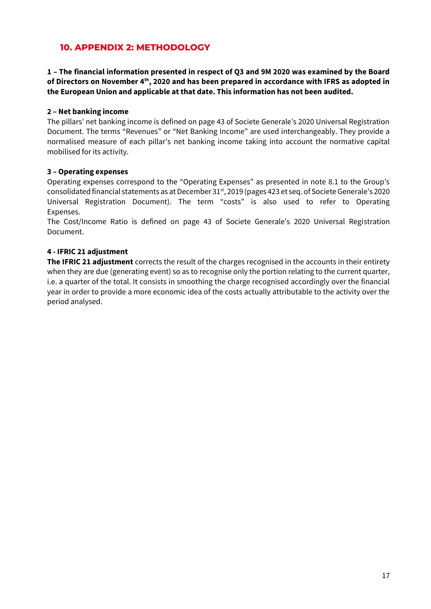### **10. APPENDIX 2: METHODOLOGY**

**1 – The financial information presented in respect of Q3 and 9M 2020 was examined by the Board of Directors on November 4th, 2020 and has been prepared in accordance with IFRS as adopted in the European Union and applicable at that date. This information has not been audited.**

#### **2 – Net banking income**

The pillars' net banking income is defined on page 43 of Societe Generale's 2020 Universal Registration Document. The terms "Revenues" or "Net Banking Income" are used interchangeably. They provide a normalised measure of each pillar's net banking income taking into account the normative capital mobilised for its activity.

#### **3 – Operating expenses**

Operating expenses correspond to the "Operating Expenses" as presented in note 8.1 to the Group's consolidated financial statements as at December 31st, 2019 (pages 423 et seq. of Societe Generale's 2020 Universal Registration Document). The term "costs" is also used to refer to Operating Expenses.

The Cost/Income Ratio is defined on page 43 of Societe Generale's 2020 Universal Registration Document.

### **4 - IFRIC 21 adjustment**

**The IFRIC 21 adjustment** corrects the result of the charges recognised in the accounts in their entirety when they are due (generating event) so as to recognise only the portion relating to the current quarter, i.e. a quarter of the total. It consists in smoothing the charge recognised accordingly over the financial year in order to provide a more economic idea of the costs actually attributable to the activity over the period analysed.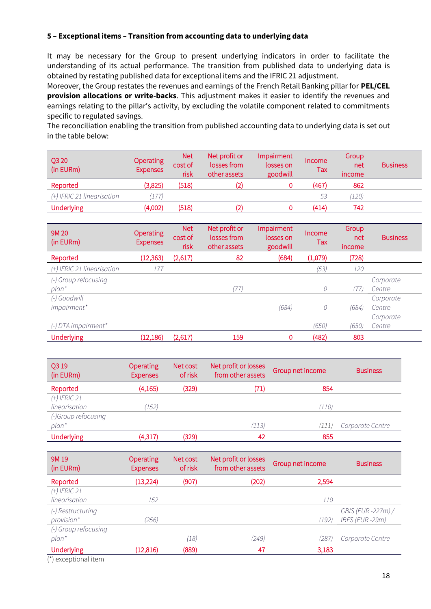#### **5 – Exceptional items – Transition from accounting data to underlying data**

It may be necessary for the Group to present underlying indicators in order to facilitate the understanding of its actual performance. The transition from published data to underlying data is obtained by restating published data for exceptional items and the IFRIC 21 adjustment.

Moreover, the Group restates the revenues and earnings of the French Retail Banking pillar for **PEL/CEL provision allocations or write-backs**. This adjustment makes it easier to identify the revenues and earnings relating to the pillar's activity, by excluding the volatile component related to commitments specific to regulated savings.

The reconciliation enabling the transition from published accounting data to underlying data is set out in the table below:

| Q3 20<br>(in EURm)           | <b>Operating</b><br><b>Expenses</b> | <b>Net</b><br>cost of<br>risk | Net profit or<br>losses from<br>other assets | Impairment<br>losses on<br>goodwill | Income<br>Tax | Group<br>net<br><i>income</i> | <b>Business</b> |
|------------------------------|-------------------------------------|-------------------------------|----------------------------------------------|-------------------------------------|---------------|-------------------------------|-----------------|
| Reported                     | (3,825)                             | (518)                         | (2)                                          |                                     | (467)         | 862                           |                 |
| $(+)$ IFRIC 21 linearisation | 177)                                |                               |                                              |                                     | 53            | (120)                         |                 |
| <b>Underlying</b>            | (4,002)                             | (518)                         | (2)                                          |                                     | (414)         | 742                           |                 |

| 9M 20<br>(in EURm)         | <b>Operating</b><br><b>Expenses</b> | <b>Net</b><br>cost of<br>risk | Net profit or<br>losses from<br>other assets | Impairment<br>losses on<br>goodwill | Income<br>Tax | Group<br>net<br>income | <b>Business</b> |
|----------------------------|-------------------------------------|-------------------------------|----------------------------------------------|-------------------------------------|---------------|------------------------|-----------------|
| Reported                   | (12, 363)                           | (2,617)                       | 82                                           | (684)                               | (1,079)       | (728)                  |                 |
| (+) IFRIC 21 linearisation | 177                                 |                               |                                              |                                     | (53)          | 120                    |                 |
| (-) Group refocusing       |                                     |                               |                                              |                                     |               |                        | Corporate       |
| $plan^*$                   |                                     |                               | (77)                                         |                                     | 0             | (77)                   | Centre          |
| (-) Goodwill               |                                     |                               |                                              |                                     |               |                        | Corporate       |
| impairment*                |                                     |                               |                                              | (684)                               | 0             | (684)                  | Centre          |
|                            |                                     |                               |                                              |                                     |               |                        | Corporate       |
| $(-)$ DTA impairment*      |                                     |                               |                                              |                                     | (650)         | (650)                  | Centre          |
| <b>Underlying</b>          | (12, 186)                           | (2,617)                       | 159                                          | 0                                   | (482)         | 803                    |                 |

| Q3 19<br>(in EURm)  | Operating<br><b>Expenses</b> | Net cost<br>of risk | Net profit or losses<br>from other assets | Group net income | <b>Business</b>  |
|---------------------|------------------------------|---------------------|-------------------------------------------|------------------|------------------|
| Reported            | (4, 165)                     | (329)               | (71)                                      | 854              |                  |
| $(+)$ IFRIC 21      |                              |                     |                                           |                  |                  |
| linearisation       | (152)                        |                     |                                           | (110)            |                  |
| (-)Group refocusing |                              |                     |                                           |                  |                  |
| plan*               |                              |                     | (113)                                     | '111             | Corporate Centre |
| <b>Underlying</b>   | (4,317)                      | (329)               | 42                                        | 855              |                  |

| 9M 19<br>(in EURm)   | <b>Operating</b><br><b>Expenses</b> | Net cost<br>of risk | Net profit or losses<br>from other assets | Group net income | <b>Business</b>    |
|----------------------|-------------------------------------|---------------------|-------------------------------------------|------------------|--------------------|
| Reported             | (13, 224)                           | (907)               | (202)                                     | 2,594            |                    |
| $(+)$ IFRIC 21       |                                     |                     |                                           |                  |                    |
| linearisation        | 152                                 |                     |                                           | 110              |                    |
| (-) Restructuring    |                                     |                     |                                           |                  | GBIS (EUR -227m) / |
| provision*           | (256)                               |                     |                                           | (192             | IBFS (EUR-29m)     |
| (-) Group refocusing |                                     |                     |                                           |                  |                    |
| $plan^*$             |                                     | (18)                | (249)                                     | (287             | Corporate Centre   |
| <b>Underlying</b>    | (12, 816)                           | (889)               | 47                                        | 3,183            |                    |
|                      |                                     |                     |                                           |                  |                    |

(\*) exceptional item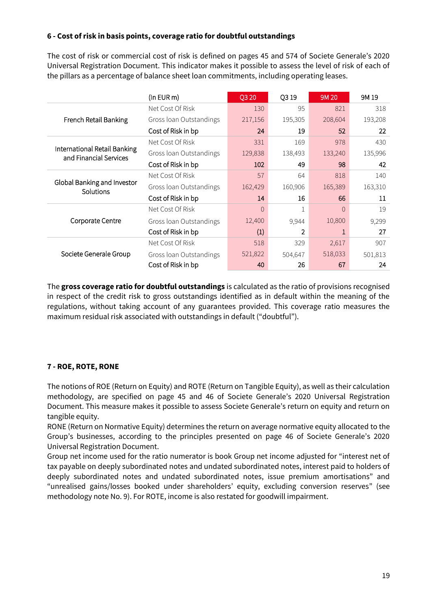### **6 - Cost of risk in basis points, coverage ratio for doubtful outstandings**

The cost of risk or commercial cost of risk is defined on pages 45 and 574 of Societe Generale's 2020 Universal Registration Document. This indicator makes it possible to assess the level of risk of each of the pillars as a percentage of balance sheet loan commitments, including operating leases.

|                                                        | $(ln$ EUR m $)$         | Q3 20    | Q319           | 9M 20    | 9M 19   |
|--------------------------------------------------------|-------------------------|----------|----------------|----------|---------|
|                                                        | Net Cost Of Risk        | 130      | 95             | 821      | 318     |
| French Retail Banking                                  | Gross loan Outstandings | 217,156  | 195,305        | 208,604  | 193,208 |
|                                                        | Cost of Risk in bp      | 24       | 19             | 52       | 22      |
|                                                        | Net Cost Of Risk        | 331      | 169            | 978      | 430     |
| International Retail Banking<br>and Financial Services | Gross loan Outstandings | 129,838  | 138,493        | 133,240  | 135,996 |
|                                                        | Cost of Risk in bp      | 102      | 49             | 98       | 42      |
|                                                        | Net Cost Of Risk        | 57       | 64             | 818      | 140     |
| Global Banking and Investor<br>Solutions               | Gross loan Outstandings | 162,429  | 160,906        | 165,389  | 163,310 |
|                                                        | Cost of Risk in bp      | 14       | 16             | 66       | 11      |
|                                                        | Net Cost Of Risk        | $\Omega$ | 1              | $\Omega$ | 19      |
| Corporate Centre                                       | Gross loan Outstandings | 12,400   | 9,944          | 10,800   | 9,299   |
|                                                        | Cost of Risk in bp      | (1)      | $\overline{2}$ |          | 27      |
| Societe Generale Group                                 | Net Cost Of Risk        | 518      | 329            | 2,617    | 907     |
|                                                        | Gross loan Outstandings | 521,822  | 504,647        | 518,033  | 501,813 |
|                                                        | Cost of Risk in bp      | 40       | 26             | 67       | 24      |

The **gross coverage ratio for doubtful outstandings** is calculated as the ratio of provisions recognised in respect of the credit risk to gross outstandings identified as in default within the meaning of the regulations, without taking account of any guarantees provided. This coverage ratio measures the maximum residual risk associated with outstandings in default ("doubtful").

### **7 - ROE, ROTE, RONE**

The notions of ROE (Return on Equity) and ROTE (Return on Tangible Equity), as well as their calculation methodology, are specified on page 45 and 46 of Societe Generale's 2020 Universal Registration Document. This measure makes it possible to assess Societe Generale's return on equity and return on tangible equity.

RONE (Return on Normative Equity) determines the return on average normative equity allocated to the Group's businesses, according to the principles presented on page 46 of Societe Generale's 2020 Universal Registration Document.

Group net income used for the ratio numerator is book Group net income adjusted for "interest net of tax payable on deeply subordinated notes and undated subordinated notes, interest paid to holders of deeply subordinated notes and undated subordinated notes, issue premium amortisations" and "unrealised gains/losses booked under shareholders' equity, excluding conversion reserves" (see methodology note No. 9). For ROTE, income is also restated for goodwill impairment.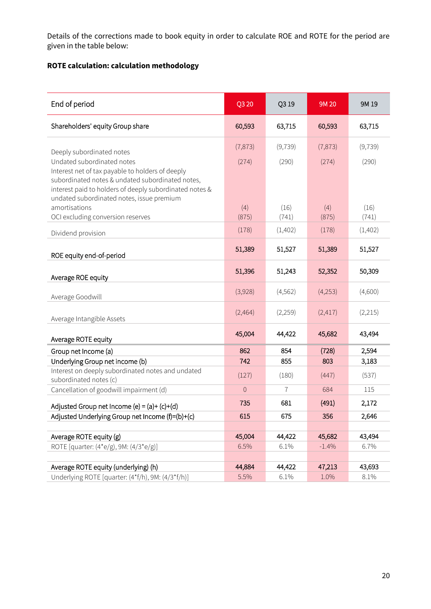Details of the corrections made to book equity in order to calculate ROE and ROTE for the period are given in the table below:

# **ROTE calculation: calculation methodology**

| End of period                                                                                                                                                   | Q3 20        | Q319     | 9M 20    | 9M 19    |
|-----------------------------------------------------------------------------------------------------------------------------------------------------------------|--------------|----------|----------|----------|
| Shareholders' equity Group share                                                                                                                                | 60,593       | 63,715   | 60,593   | 63,715   |
| Deeply subordinated notes                                                                                                                                       | (7, 873)     | (9, 739) | (7, 873) | (9, 739) |
| Undated subordinated notes                                                                                                                                      | (274)        | (290)    | (274)    | (290)    |
| Interest net of tax payable to holders of deeply<br>subordinated notes & undated subordinated notes,<br>interest paid to holders of deeply subordinated notes & |              |          |          |          |
| undated subordinated notes, issue premium                                                                                                                       |              |          |          |          |
| amortisations                                                                                                                                                   | (4)          | (16)     | (4)      | (16)     |
| OCI excluding conversion reserves                                                                                                                               | (875)        | (741)    | (875)    | (741)    |
| Dividend provision                                                                                                                                              | (178)        | (1,402)  | (178)    | (1,402)  |
| ROE equity end-of-period                                                                                                                                        | 51,389       | 51,527   | 51,389   | 51,527   |
| Average ROE equity                                                                                                                                              | 51,396       | 51,243   | 52,352   | 50,309   |
| Average Goodwill                                                                                                                                                | (3,928)      | (4, 562) | (4,253)  | (4,600)  |
| Average Intangible Assets                                                                                                                                       | (2,464)      | (2,259)  | (2,417)  | (2,215)  |
| Average ROTE equity                                                                                                                                             | 45,004       | 44,422   | 45,682   | 43,494   |
| Group net Income (a)                                                                                                                                            | 862          | 854      | (728)    | 2,594    |
| Underlying Group net income (b)                                                                                                                                 | 742          | 855      | 803      | 3,183    |
| Interest on deeply subordinated notes and undated<br>subordinated notes (c)                                                                                     | (127)        | (180)    | (447)    | (537)    |
| Cancellation of goodwill impairment (d)                                                                                                                         | $\mathsf{O}$ | 7        | 684      | 115      |
| Adjusted Group net Income (e) = $(a)+(c)+(d)$                                                                                                                   | 735          | 681      | (491)    | 2,172    |
| Adjusted Underlying Group net Income (f)=(b)+(c)                                                                                                                | 615          | 675      | 356      | 2,646    |
|                                                                                                                                                                 |              |          |          |          |
| Average ROTE equity (g)                                                                                                                                         | 45,004       | 44,422   | 45,682   | 43,494   |
| ROTE [quarter: (4*e/g), 9M: (4/3*e/g)]                                                                                                                          | 6.5%         | 6.1%     | $-1.4%$  | 6.7%     |
| Average ROTE equity (underlying) (h)                                                                                                                            | 44,884       | 44,422   | 47,213   | 43,693   |
| Underlying ROTE [quarter: (4*f/h), 9M: (4/3*f/h)]                                                                                                               | 5.5%         | 6.1%     | 1.0%     | 8.1%     |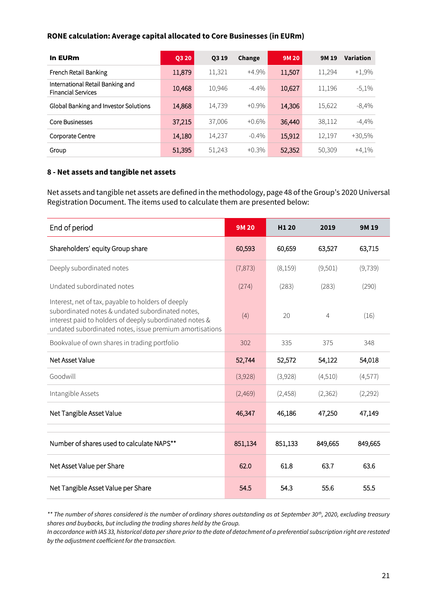#### **RONE calculation: Average capital allocated to Core Businesses (in EURm)**

| In EURm                                                       | Q3 20  | Q3 19  | Change   | 9M 20  | 9M 19  | Variation |
|---------------------------------------------------------------|--------|--------|----------|--------|--------|-----------|
| French Retail Banking                                         | 11,879 | 11,321 | $+4.9%$  | 11,507 | 11,294 | $+1,9%$   |
| International Retail Banking and<br><b>Financial Services</b> | 10,468 | 10,946 | $-4.4\%$ | 10,627 | 11,196 | $-5,1%$   |
| Global Banking and Investor Solutions                         | 14,868 | 14,739 | $+0.9\%$ | 14,306 | 15,622 | $-8,4%$   |
| <b>Core Businesses</b>                                        | 37,215 | 37,006 | $+0.6\%$ | 36,440 | 38,112 | $-4,4%$   |
| Corporate Centre                                              | 14,180 | 14,237 | $-0.4\%$ | 15,912 | 12,197 | +30,5%    |
| Group                                                         | 51,395 | 51,243 | $+0.3\%$ | 52,352 | 50,309 | $+4,1%$   |

#### **8 - Net assets and tangible net assets**

Net assets and tangible net assets are defined in the methodology, page 48 of the Group's 2020 Universal Registration Document. The items used to calculate them are presented below:

| End of period                                                                                                                                                                                                                | <b>9M20</b> | H <sub>1</sub> 20 | 2019           | 9M 19    |
|------------------------------------------------------------------------------------------------------------------------------------------------------------------------------------------------------------------------------|-------------|-------------------|----------------|----------|
| Shareholders' equity Group share                                                                                                                                                                                             | 60,593      | 60,659            | 63,527         | 63,715   |
| Deeply subordinated notes                                                                                                                                                                                                    | (7, 873)    | (8,159)           | (9,501)        | (9, 739) |
| Undated subordinated notes                                                                                                                                                                                                   | (274)       | (283)             | (283)          | (290)    |
| Interest, net of tax, payable to holders of deeply<br>subordinated notes & undated subordinated notes,<br>interest paid to holders of deeply subordinated notes &<br>undated subordinated notes, issue premium amortisations | (4)         | 20                | $\overline{4}$ | (16)     |
| Bookvalue of own shares in trading portfolio                                                                                                                                                                                 | 302         | 335               | 375            | 348      |
| Net Asset Value                                                                                                                                                                                                              | 52,744      | 52,572            | 54,122         | 54,018   |
| Goodwill                                                                                                                                                                                                                     | (3,928)     | (3,928)           | (4,510)        | (4,577)  |
| Intangible Assets                                                                                                                                                                                                            | (2,469)     | (2,458)           | (2, 362)       | (2,292)  |
| Net Tangible Asset Value                                                                                                                                                                                                     | 46,347      | 46,186            | 47,250         | 47,149   |
| Number of shares used to calculate NAPS**                                                                                                                                                                                    | 851,134     | 851,133           | 849,665        | 849,665  |
| Net Asset Value per Share                                                                                                                                                                                                    | 62.0        | 61.8              | 63.7           | 63.6     |
| Net Tangible Asset Value per Share                                                                                                                                                                                           | 54.5        | 54.3              | 55.6           | 55.5     |

*\*\* The number of shares considered is the number of ordinary shares outstanding as at September 30th, 2020, excluding treasury shares and buybacks, but including the trading shares held by the Group.* 

*In accordance with IAS 33, historical data per share prior to the date of detachment of a preferential subscription right are restated by the adjustment coefficient for the transaction.*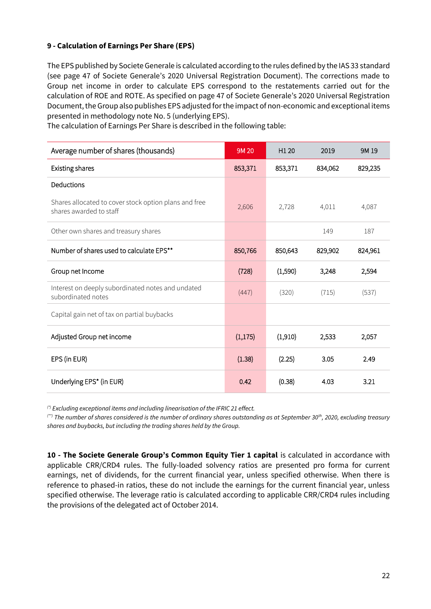#### **9 - Calculation of Earnings Per Share (EPS)**

The EPS published by Societe Generale is calculated according to the rules defined by the IAS 33 standard (see page 47 of Societe Generale's 2020 Universal Registration Document). The corrections made to Group net income in order to calculate EPS correspond to the restatements carried out for the calculation of ROE and ROTE. As specified on page 47 of Societe Generale's 2020 Universal Registration Document, the Group also publishes EPS adjusted for the impact of non-economic and exceptional items presented in methodology note No. 5 (underlying EPS).

| Average number of shares (thousands)                                             | 9M 20    | H1 20   | 2019    | 9M 19   |
|----------------------------------------------------------------------------------|----------|---------|---------|---------|
| Existing shares                                                                  | 853,371  | 853,371 | 834,062 | 829,235 |
| Deductions                                                                       |          |         |         |         |
| Shares allocated to cover stock option plans and free<br>shares awarded to staff | 2,606    | 2,728   | 4,011   | 4,087   |
| Other own shares and treasury shares                                             |          |         | 149     | 187     |
| Number of shares used to calculate EPS**                                         | 850,766  | 850,643 | 829,902 | 824,961 |
| Group net Income                                                                 | (728)    | (1,590) | 3,248   | 2,594   |
| Interest on deeply subordinated notes and undated<br>subordinated notes          | (447)    | (320)   | (715)   | (537)   |
| Capital gain net of tax on partial buybacks                                      |          |         |         |         |
| Adjusted Group net income                                                        | (1, 175) | (1,910) | 2,533   | 2,057   |
| EPS (in EUR)                                                                     | (1.38)   | (2.25)  | 3.05    | 2.49    |
| Underlying EPS* (in EUR)                                                         | 0.42     | (0.38)  | 4.03    | 3.21    |

The calculation of Earnings Per Share is described in the following table:

*(\*) Excluding exceptional items and including linearisation of the IFRIC 21 effect.* 

*(\*\*) The number of shares considered is the number of ordinary shares outstanding as at September 30th, 2020, excluding treasury shares and buybacks, but including the trading shares held by the Group.* 

**10 - The Societe Generale Group's Common Equity Tier 1 capital** is calculated in accordance with applicable CRR/CRD4 rules. The fully-loaded solvency ratios are presented pro forma for current earnings, net of dividends, for the current financial year, unless specified otherwise. When there is reference to phased-in ratios, these do not include the earnings for the current financial year, unless specified otherwise. The leverage ratio is calculated according to applicable CRR/CRD4 rules including the provisions of the delegated act of October 2014.